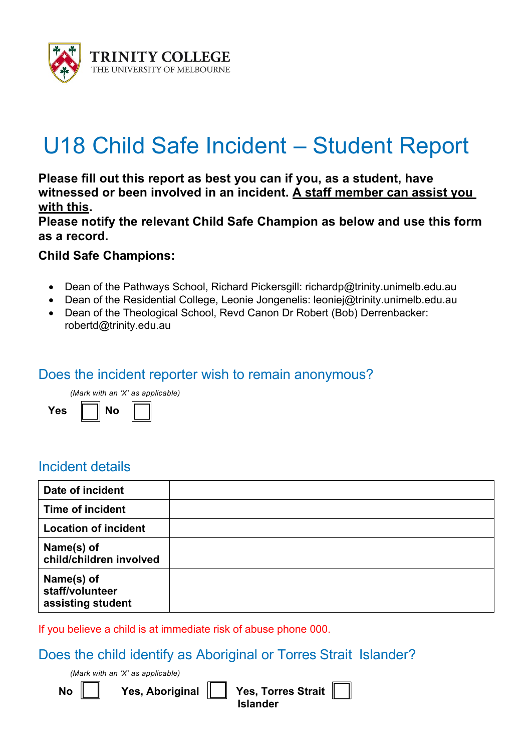

# U18 Child Safe Incident – Student Report

**Please fill out this report as best you can if you, as a student, have witnessed or been involved in an incident. A staff member can assist you with this.** 

**Please notify the relevant Child Safe Champion as below and use this form as a record.**

#### **Child Safe Champions:**

- Dean of the Pathways School, Richard Pickersgill: richardp@trinity.unimelb.edu.au
- Dean of the Residential College, Leonie Jongenelis: leoniej@trinity.unimelb.edu.au
- Dean of the Theological School, Revd Canon Dr Robert (Bob) Derrenbacker: robertd@trinity.edu.au

#### Does the incident reporter wish to remain anonymous?

*(Mark with an 'X' as applicable)* Yes  $\parallel$  No

#### Incident details

| Date of incident                                   |  |
|----------------------------------------------------|--|
| <b>Time of incident</b>                            |  |
| <b>Location of incident</b>                        |  |
| Name(s) of<br>child/children involved              |  |
| Name(s) of<br>staff/volunteer<br>assisting student |  |

If you believe a child is at immediate risk of abuse phone 000.

#### Does the child identify as Aboriginal or Torres Strait Islander?

*(Mark with an 'X' as applicable)*

**No || || Yes, Aboriginal || || Yes, Torres Strait** |  **Islander**